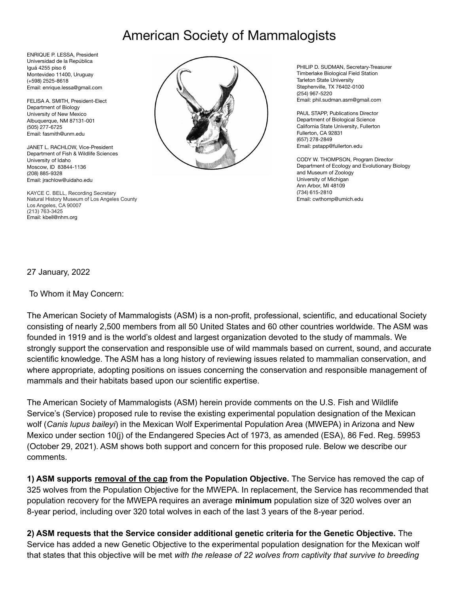## American Society of Mammalogists

ENRIQUE P. LESSA, President Universidad de la República Iguá 4255 piso 6 Montevideo 11400, Uruguay (+598) 2525-8618 Email: enrique.lessa@gmail.com

FELISA A. SMITH, President-Elect Department of Biology University of New Mexico Albuquerque, NM 87131-001 (505) 277-6725 Email: fasmith@unm.edu

JANET L. RACHLOW, Vice-President Department of Fish & Wildlife Sciences University of Idaho Moscow, ID 83844-1136 (208) 885-9328 Email: jrachlow@uidaho.edu

KAYCE C. BELL, Recording Secretary Natural History Museum of Los Angeles County Los Angeles, CA 90007 (213) 763-3425 Email: kbell@nhm.org



PHILIP D. SUDMAN, Secretary-Treasurer Timberlake Biological Field Station Tarleton State University Stephenville, TX 76402-0100 (254) 967-5220 Email: phil.sudman.asm@gmail.com

PAUL STAPP, Publications Director Department of Biological Science California State University, Fullerton Fullerton, CA 92831 (657) 278-2849 Email: pstapp@fullerton.edu

CODY W. THOMPSON, Program Director Department of Ecology and Evolutionary Biology and Museum of Zoology University of Michigan Ann Arbor, MI 48109 (734) 615-2810 Email: cwthomp@umich.edu

27 January, 2022

To Whom it May Concern:

The American Society of Mammalogists (ASM) is a non-profit, professional, scientific, and educational Society consisting of nearly 2,500 members from all 50 United States and 60 other countries worldwide. The ASM was founded in 1919 and is the world's oldest and largest organization devoted to the study of mammals. We strongly support the conservation and responsible use of wild mammals based on current, sound, and accurate scientific knowledge. The ASM has a long history of reviewing issues related to mammalian conservation, and where appropriate, adopting positions on issues concerning the conservation and responsible management of mammals and their habitats based upon our scientific expertise.

The American Society of Mammalogists (ASM) herein provide comments on the U.S. Fish and Wildlife Service's (Service) proposed rule to revise the existing experimental population designation of the Mexican wolf (*Canis lupus baileyi*) in the Mexican Wolf Experimental Population Area (MWEPA) in Arizona and New Mexico under section 10(j) of the Endangered Species Act of 1973, as amended (ESA), 86 Fed. Reg. 59953 (October 29, 2021). ASM shows both support and concern for this proposed rule. Below we describe our comments.

**1) ASM supports removal of the cap from the Population Objective.** The Service has removed the cap of 325 wolves from the Population Objective for the MWEPA. In replacement, the Service has recommended that population recovery for the MWEPA requires an average **minimum** population size of 320 wolves over an 8-year period, including over 320 total wolves in each of the last 3 years of the 8-year period.

**2) ASM requests that the Service consider additional genetic criteria for the Genetic Objective.** The Service has added a new Genetic Objective to the experimental population designation for the Mexican wolf that states that this objective will be met *with the release of 22 wolves from captivity that survive to breeding*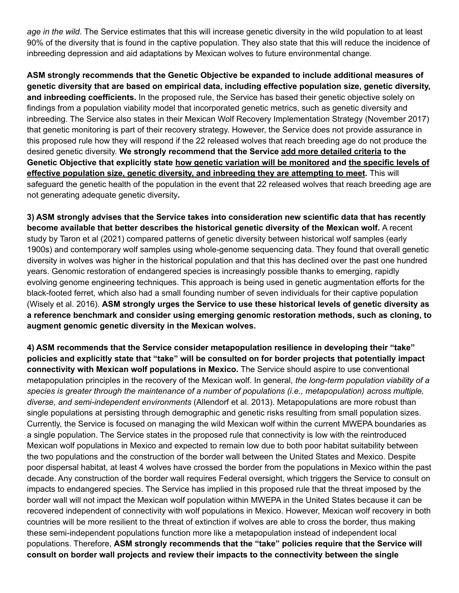*age in the wild.* The Service estimates that this will increase genetic diversity in the wild population to at least 90% of the diversity that is found in the captive population. They also state that this will reduce the incidence of inbreeding depression and aid adaptations by Mexican wolves to future environmental change.

**ASM strongly recommends that the Genetic Objective be expanded to include additional measures of genetic diversity that are based on empirical data, including effective population size, genetic diversity, and inbreeding coefficients.** In the proposed rule, the Service has based their genetic objective solely on findings from a population viability model that incorporated genetic metrics, such as genetic diversity and inbreeding. The Service also states in their Mexican Wolf Recovery Implementation Strategy (November 2017) that genetic monitoring is part of their recovery strategy. However, the Service does not provide assurance in this proposed rule how they will respond if the 22 released wolves that reach breeding age do not produce the desired genetic diversity. **We strongly recommend that the Service add more detailed criteria to the Genetic Objective that explicitly state how genetic variation will be monitored and the specific levels of effective population size, genetic diversity, and inbreeding they are attempting to meet.** This will safeguard the genetic health of the population in the event that 22 released wolves that reach breeding age are not generating adequate genetic diversity**.**

**3) ASM strongly advises that the Service takes into consideration new scientific data that has recently become available that better describes the historical genetic diversity of the Mexican wolf.** A recent study by Taron et al (2021) compared patterns of genetic diversity between historical wolf samples (early 1900s) and contemporary wolf samples using whole-genome sequencing data. They found that overall genetic diversity in wolves was higher in the historical population and that this has declined over the past one hundred years. Genomic restoration of endangered species is increasingly possible thanks to emerging, rapidly evolving genome engineering techniques. This approach is being used in genetic augmentation efforts for the black-footed ferret, which also had a small founding number of seven individuals for their captive population (Wisely et al. 2016). **ASM strongly urges the Service to use these historical levels of genetic diversity as a reference benchmark and consider using emerging genomic restoration methods, such as cloning, to augment genomic genetic diversity in the Mexican wolves.**

**4) ASM recommends that the Service consider metapopulation resilience in developing their "take" policies and explicitly state that "take" will be consulted on for border projects that potentially impact connectivity with Mexican wolf populations in Mexico.** The Service should aspire to use conventional metapopulation principles in the recovery of the Mexican wolf. In general, *the long-term population viability of a species is greater through the maintenance of a number of populations (i.e., metapopulation) across multiple, diverse, and semi-independent environments* (Allendorf et al. 2013). Metapopulations are more robust than single populations at persisting through demographic and genetic risks resulting from small population sizes. Currently, the Service is focused on managing the wild Mexican wolf within the current MWEPA boundaries as a single population. The Service states in the proposed rule that connectivity is low with the reintroduced Mexican wolf populations in Mexico and expected to remain low due to both poor habitat suitability between the two populations and the construction of the border wall between the United States and Mexico. Despite poor dispersal habitat, at least 4 wolves have crossed the border from the populations in Mexico within the past decade. Any construction of the border wall requires Federal oversight, which triggers the Service to consult on impacts to endangered species. The Service has implied in this proposed rule that the threat imposed by the border wall will not impact the Mexican wolf population within MWEPA in the United States because it can be recovered independent of connectivity with wolf populations in Mexico. However, Mexican wolf recovery in both countries will be more resilient to the threat of extinction if wolves are able to cross the border, thus making these semi-independent populations function more like a metapopulation instead of independent local populations. Therefore, **ASM strongly recommends that the "take" policies require that the Service will consult on border wall projects and review their impacts to the connectivity between the single**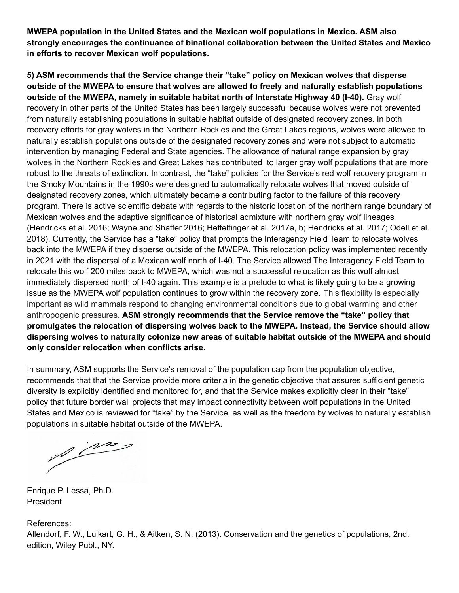**MWEPA population in the United States and the Mexican wolf populations in Mexico. ASM also strongly encourages the continuance of binational collaboration between the United States and Mexico in efforts to recover Mexican wolf populations.**

**5) ASM recommends that the Service change their "take" policy on Mexican wolves that disperse outside of the MWEPA to ensure that wolves are allowed to freely and naturally establish populations outside of the MWEPA, namely in suitable habitat north of Interstate Highway 40 (I-40).** Gray wolf recovery in other parts of the United States has been largely successful because wolves were not prevented from naturally establishing populations in suitable habitat outside of designated recovery zones. In both recovery efforts for gray wolves in the Northern Rockies and the Great Lakes regions, wolves were allowed to naturally establish populations outside of the designated recovery zones and were not subject to automatic intervention by managing Federal and State agencies. The allowance of natural range expansion by gray wolves in the Northern Rockies and Great Lakes has contributed to larger gray wolf populations that are more robust to the threats of extinction. In contrast, the "take" policies for the Service's red wolf recovery program in the Smoky Mountains in the 1990s were designed to automatically relocate wolves that moved outside of designated recovery zones, which ultimately became a contributing factor to the failure of this recovery program. There is active scientific debate with regards to the historic location of the northern range boundary of Mexican wolves and the adaptive significance of historical admixture with northern gray wolf lineages (Hendricks et al. 2016; Wayne and Shaffer 2016; Heffelfinger et al. 2017a, b; Hendricks et al. 2017; Odell et al. 2018). Currently, the Service has a "take" policy that prompts the Interagency Field Team to relocate wolves back into the MWEPA if they disperse outside of the MWEPA. This relocation policy was implemented recently in 2021 with the dispersal of a Mexican wolf north of I-40. The Service allowed The Interagency Field Team to relocate this wolf 200 miles back to MWEPA, which was not a successful relocation as this wolf almost immediately dispersed north of I-40 again. This example is a prelude to what is likely going to be a growing issue as the MWEPA wolf population continues to grow within the recovery zone. This flexibility is especially important as wild mammals respond to changing environmental conditions due to global warming and other anthropogenic pressures. **ASM strongly recommends that the Service remove the "take" policy that promulgates the relocation of dispersing wolves back to the MWEPA. Instead, the Service should allow dispersing wolves to naturally colonize new areas of suitable habitat outside of the MWEPA and should only consider relocation when conflicts arise.**

In summary, ASM supports the Service's removal of the population cap from the population objective, recommends that that the Service provide more criteria in the genetic objective that assures sufficient genetic diversity is explicitly identified and monitored for, and that the Service makes explicitly clear in their "take" policy that future border wall projects that may impact connectivity between wolf populations in the United States and Mexico is reviewed for "take" by the Service, as well as the freedom by wolves to naturally establish populations in suitable habitat outside of the MWEPA.

1 m

Enrique P. Lessa, Ph.D. President

References:

Allendorf, F. W., Luikart, G. H., & Aitken, S. N. (2013). Conservation and the genetics of populations, 2nd. edition, Wiley Publ., NY.